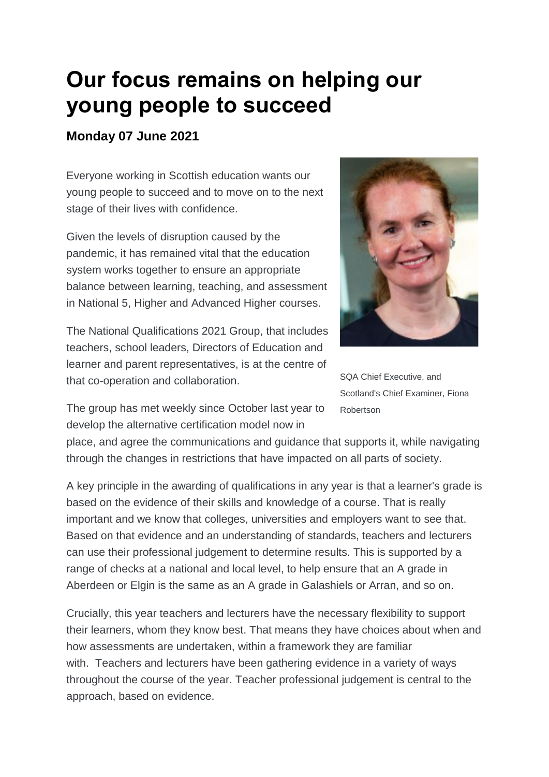## **Our focus remains on helping our young people to succeed**

## **Monday 07 June 2021**

Everyone working in Scottish education wants our young people to succeed and to move on to the next stage of their lives with confidence.

Given the levels of disruption caused by the pandemic, it has remained vital that the education system works together to ensure an appropriate balance between learning, teaching, and assessment in National 5, Higher and Advanced Higher courses.

The National Qualifications 2021 Group, that includes teachers, school leaders, Directors of Education and learner and parent representatives, is at the centre of that co-operation and collaboration.



SQA Chief Executive, and Scotland's Chief Examiner, Fiona Robertson

The group has met weekly since October last year to develop the alternative certification model now in

place, and agree the communications and guidance that supports it, while navigating through the changes in restrictions that have impacted on all parts of society.

A key principle in the awarding of qualifications in any year is that a learner's grade is based on the evidence of their skills and knowledge of a course. That is really important and we know that colleges, universities and employers want to see that. Based on that evidence and an understanding of standards, teachers and lecturers can use their professional judgement to determine results. This is supported by a range of checks at a national and local level, to help ensure that an A grade in Aberdeen or Elgin is the same as an A grade in Galashiels or Arran, and so on.

Crucially, this year teachers and lecturers have the necessary flexibility to support their learners, whom they know best. That means they have choices about when and how assessments are undertaken, within a framework they are familiar with. Teachers and lecturers have been gathering evidence in a variety of ways throughout the course of the year. Teacher professional judgement is central to the approach, based on evidence.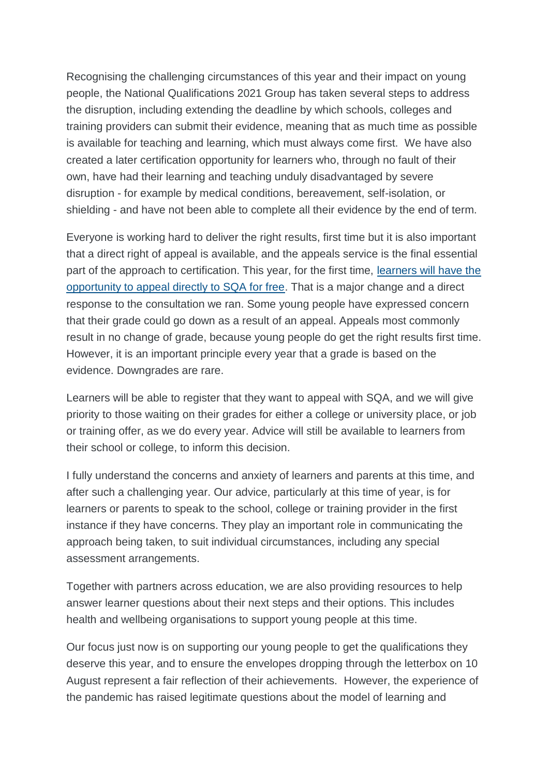Recognising the challenging circumstances of this year and their impact on young people, the National Qualifications 2021 Group has taken several steps to address the disruption, including extending the deadline by which schools, colleges and training providers can submit their evidence, meaning that as much time as possible is available for teaching and learning, which must always come first. We have also created a later certification opportunity for learners who, through no fault of their own, have had their learning and teaching unduly disadvantaged by severe disruption - for example by medical conditions, bereavement, self-isolation, or shielding - and have not been able to complete all their evidence by the end of term.

Everyone is working hard to deliver the right results, first time but it is also important that a direct right of appeal is available, and the appeals service is the final essential part of the approach to certification. This year, for the first time, [learners will have the](https://www.sqa.org.uk/sqa/97945.html)  [opportunity to appeal directly to SQA for free.](https://www.sqa.org.uk/sqa/97945.html) That is a major change and a direct response to the consultation we ran. Some young people have expressed concern that their grade could go down as a result of an appeal. Appeals most commonly result in no change of grade, because young people do get the right results first time. However, it is an important principle every year that a grade is based on the evidence. Downgrades are rare.

Learners will be able to register that they want to appeal with SQA, and we will give priority to those waiting on their grades for either a college or university place, or job or training offer, as we do every year. Advice will still be available to learners from their school or college, to inform this decision.

I fully understand the concerns and anxiety of learners and parents at this time, and after such a challenging year. Our advice, particularly at this time of year, is for learners or parents to speak to the school, college or training provider in the first instance if they have concerns. They play an important role in communicating the approach being taken, to suit individual circumstances, including any special assessment arrangements.

Together with partners across education, we are also providing resources to help answer learner questions about their next steps and their options. This includes health and wellbeing organisations to support young people at this time.

Our focus just now is on supporting our young people to get the qualifications they deserve this year, and to ensure the envelopes dropping through the letterbox on 10 August represent a fair reflection of their achievements. However, the experience of the pandemic has raised legitimate questions about the model of learning and